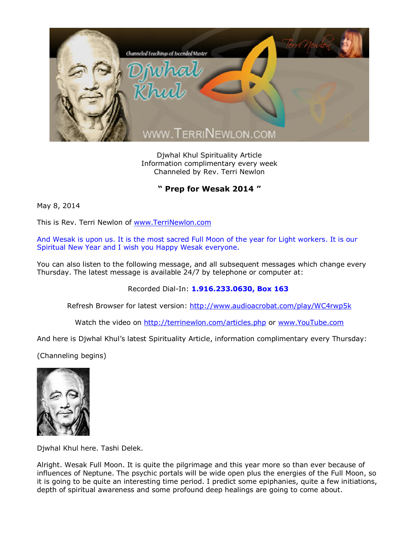

Djwhal Khul Spirituality Article Information complimentary every week Channeled by Rev. Terri Newlon

**" Prep for Wesak 2014 "**

May 8, 2014

This is Rev. Terri Newlon of [www.TerriNewlon.com](http://www.terrinewlon.com/)

And Wesak is upon us. It is the most sacred Full Moon of the year for Light workers. It is our Spiritual New Year and I wish you Happy Wesak everyone.

You can also listen to the following message, and all subsequent messages which change every Thursday. The latest message is available 24/7 by telephone or computer at:

Recorded Dial-In: **1.916.233.0630, Box 163**

Refresh Browser for latest version: <http://www.audioacrobat.com/play/WC4rwp5k>

Watch the video on <http://terrinewlon.com/articles.php> or [www.YouTube.com](http://www.youtube.com/)

And here is Djwhal Khul's latest Spirituality Article, information complimentary every Thursday:

(Channeling begins)



Djwhal Khul here. Tashi Delek.

Alright. Wesak Full Moon. It is quite the pilgrimage and this year more so than ever because of influences of Neptune. The psychic portals will be wide open plus the energies of the Full Moon, so it is going to be quite an interesting time period. I predict some epiphanies, quite a few initiations, depth of spiritual awareness and some profound deep healings are going to come about.